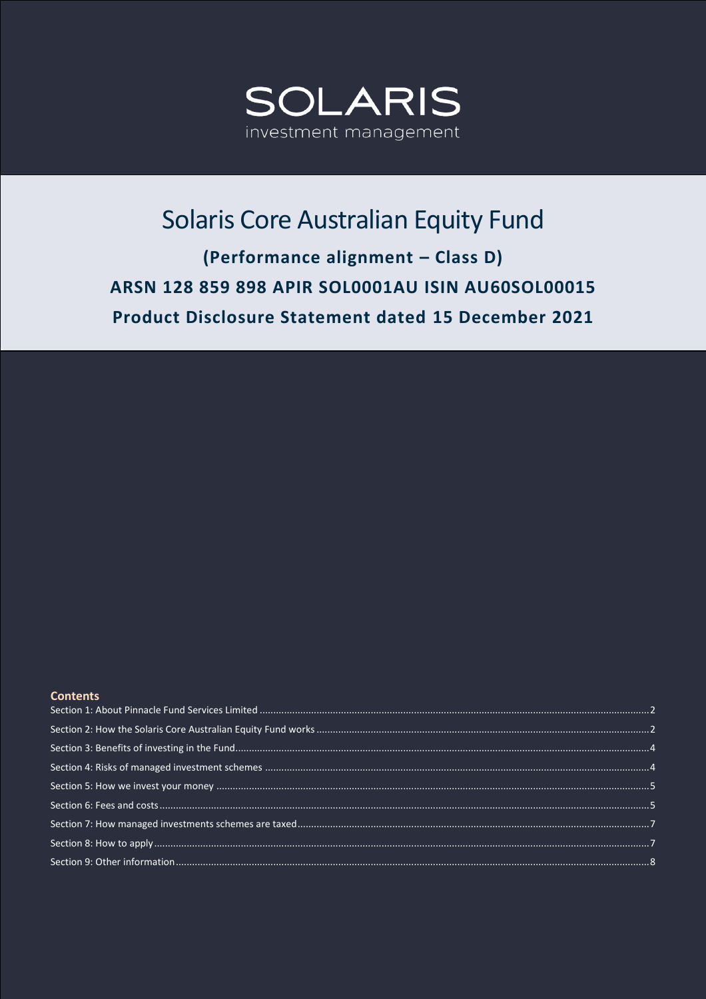

# Solaris Core Australian Equity Fund (Performance alignment - Class D) ARSN 128 859 898 APIR SOL0001AU ISIN AU60SOL00015

Product Disclosure Statement dated 15 December 2021

# **Contents**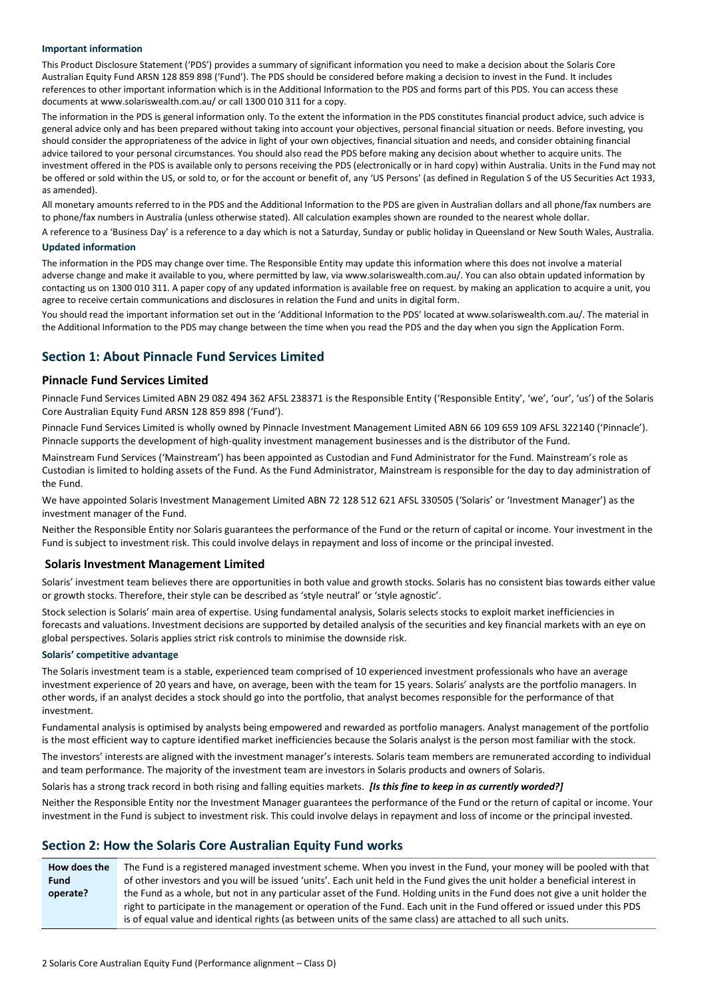#### **Important information**

This Product Disclosure Statement ('PDS') provides a summary of significant information you need to make a decision about the Solaris Core Australian Equity Fund ARSN 128 859 898 ('Fund'). The PDS should be considered before making a decision to invest in the Fund. It includes references to other important information which is in the Additional Information to the PDS and forms part of this PDS. You can access these documents at www.solariswealth.com.au/ or call 1300 010 311 for a copy.

The information in the PDS is general information only. To the extent the information in the PDS constitutes financial product advice, such advice is general advice only and has been prepared without taking into account your objectives, personal financial situation or needs. Before investing, you should consider the appropriateness of the advice in light of your own objectives, financial situation and needs, and consider obtaining financial advice tailored to your personal circumstances. You should also read the PDS before making any decision about whether to acquire units. The investment offered in the PDS is available only to persons receiving the PDS (electronically or in hard copy) within Australia. Units in the Fund may not be offered or sold within the US, or sold to, or for the account or benefit of, any 'US Persons' (as defined in Regulation S of the US Securities Act 1933, as amended).

All monetary amounts referred to in the PDS and the Additional Information to the PDS are given in Australian dollars and all phone/fax numbers are to phone/fax numbers in Australia (unless otherwise stated). All calculation examples shown are rounded to the nearest whole dollar.

A reference to a 'Business Day' is a reference to a day which is not a Saturday, Sunday or public holiday in Queensland or New South Wales, Australia.

#### **Updated information**

The information in the PDS may change over time. The Responsible Entity may update this information where this does not involve a material adverse change and make it available to you, where permitted by law, via www.solariswealth.com.au/. You can also obtain updated information by contacting us on 1300 010 311. A paper copy of any updated information is available free on request. by making an application to acquire a unit, you agree to receive certain communications and disclosures in relation the Fund and units in digital form.

You should read the important information set out in the 'Additional Information to the PDS' located at www.solariswealth.com.au/. The material in the Additional Information to the PDS may change between the time when you read the PDS and the day when you sign the Application Form.

# <span id="page-1-0"></span>**Section 1: About Pinnacle Fund Services Limited**

#### **Pinnacle Fund Services Limited**

Pinnacle Fund Services Limited ABN 29 082 494 362 AFSL 238371 is the Responsible Entity ('Responsible Entity', 'we', 'our', 'us') of the Solaris Core Australian Equity Fund ARSN 128 859 898 ('Fund').

Pinnacle Fund Services Limited is wholly owned by Pinnacle Investment Management Limited ABN 66 109 659 109 AFSL 322140 ('Pinnacle'). Pinnacle supports the development of high-quality investment management businesses and is the distributor of the Fund.

Mainstream Fund Services ('Mainstream') has been appointed as Custodian and Fund Administrator for the Fund. Mainstream's role as Custodian is limited to holding assets of the Fund. As the Fund Administrator, Mainstream is responsible for the day to day administration of the Fund.

We have appointed Solaris Investment Management Limited ABN 72 128 512 621 AFSL 330505 ('Solaris' or 'Investment Manager') as the investment manager of the Fund.

Neither the Responsible Entity nor Solaris guarantees the performance of the Fund or the return of capital or income. Your investment in the Fund is subject to investment risk. This could involve delays in repayment and loss of income or the principal invested.

#### **Solaris Investment Management Limited**

Solaris' investment team believes there are opportunities in both value and growth stocks. Solaris has no consistent bias towards either value or growth stocks. Therefore, their style can be described as 'style neutral' or 'style agnostic'.

Stock selection is Solaris' main area of expertise. Using fundamental analysis, Solaris selects stocks to exploit market inefficiencies in forecasts and valuations. Investment decisions are supported by detailed analysis of the securities and key financial markets with an eye on global perspectives. Solaris applies strict risk controls to minimise the downside risk.

#### **Solaris' competitive advantage**

The Solaris investment team is a stable, experienced team comprised of 10 experienced investment professionals who have an average investment experience of 20 years and have, on average, been with the team for 15 years. Solaris' analysts are the portfolio managers. In other words, if an analyst decides a stock should go into the portfolio, that analyst becomes responsible for the performance of that investment.

Fundamental analysis is optimised by analysts being empowered and rewarded as portfolio managers. Analyst management of the portfolio is the most efficient way to capture identified market inefficiencies because the Solaris analyst is the person most familiar with the stock.

The investors' interests are aligned with the investment manager's interests. Solaris team members are remunerated according to individual and team performance. The majority of the investment team are investors in Solaris products and owners of Solaris.

Solaris has a strong track record in both rising and falling equities markets. *[Is this fine to keep in as currently worded?]*

Neither the Responsible Entity nor the Investment Manager guarantees the performance of the Fund or the return of capital or income. Your investment in the Fund is subject to investment risk. This could involve delays in repayment and loss of income or the principal invested.

# <span id="page-1-1"></span>**Section 2: How the Solaris Core Australian Equity Fund works**

**How does the Fund operate?** The Fund is a registered managed investment scheme. When you invest in the Fund, your money will be pooled with that of other investors and you will be issued 'units'. Each unit held in the Fund gives the unit holder a beneficial interest in the Fund as a whole, but not in any particular asset of the Fund. Holding units in the Fund does not give a unit holder the right to participate in the management or operation of the Fund. Each unit in the Fund offered or issued under this PDS is of equal value and identical rights (as between units of the same class) are attached to all such units.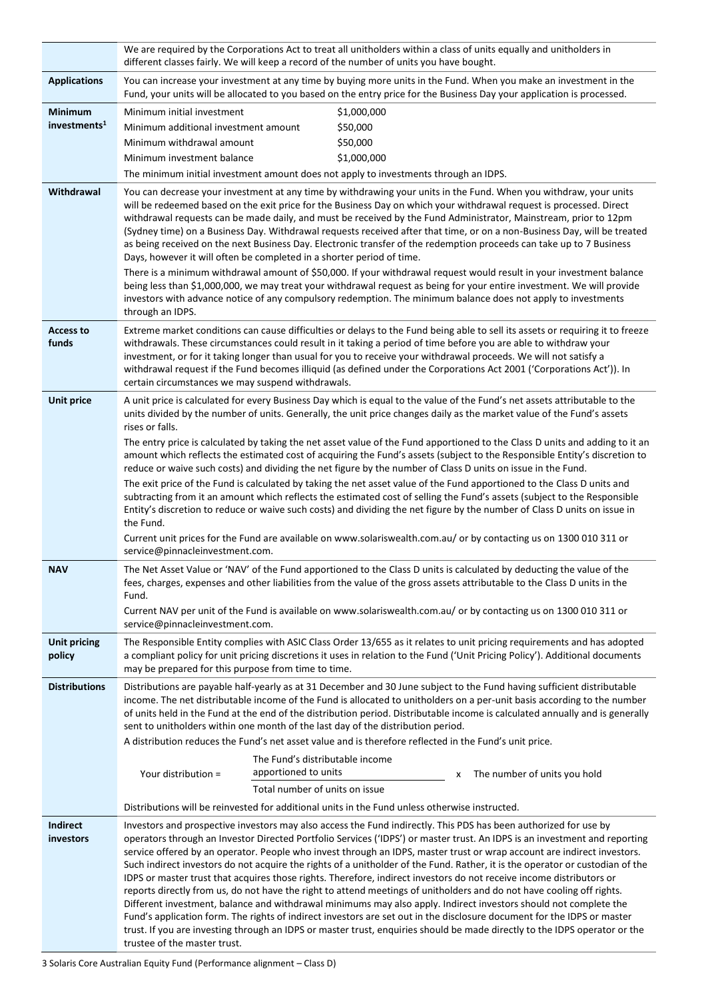|                               | We are required by the Corporations Act to treat all unitholders within a class of units equally and unitholders in<br>different classes fairly. We will keep a record of the number of units you have bought.                                                                                                                                                                                                                                                                                                                                                                                                                                                                                                                                                                                                                                                                                                                                                                                                       |  |  |
|-------------------------------|----------------------------------------------------------------------------------------------------------------------------------------------------------------------------------------------------------------------------------------------------------------------------------------------------------------------------------------------------------------------------------------------------------------------------------------------------------------------------------------------------------------------------------------------------------------------------------------------------------------------------------------------------------------------------------------------------------------------------------------------------------------------------------------------------------------------------------------------------------------------------------------------------------------------------------------------------------------------------------------------------------------------|--|--|
| <b>Applications</b>           | You can increase your investment at any time by buying more units in the Fund. When you make an investment in the<br>Fund, your units will be allocated to you based on the entry price for the Business Day your application is processed.                                                                                                                                                                                                                                                                                                                                                                                                                                                                                                                                                                                                                                                                                                                                                                          |  |  |
| <b>Minimum</b>                | Minimum initial investment<br>\$1,000,000                                                                                                                                                                                                                                                                                                                                                                                                                                                                                                                                                                                                                                                                                                                                                                                                                                                                                                                                                                            |  |  |
| investments <sup>1</sup>      | \$50,000<br>Minimum additional investment amount                                                                                                                                                                                                                                                                                                                                                                                                                                                                                                                                                                                                                                                                                                                                                                                                                                                                                                                                                                     |  |  |
|                               | \$50,000<br>Minimum withdrawal amount                                                                                                                                                                                                                                                                                                                                                                                                                                                                                                                                                                                                                                                                                                                                                                                                                                                                                                                                                                                |  |  |
|                               | \$1,000,000<br>Minimum investment balance                                                                                                                                                                                                                                                                                                                                                                                                                                                                                                                                                                                                                                                                                                                                                                                                                                                                                                                                                                            |  |  |
| Withdrawal                    | The minimum initial investment amount does not apply to investments through an IDPS.                                                                                                                                                                                                                                                                                                                                                                                                                                                                                                                                                                                                                                                                                                                                                                                                                                                                                                                                 |  |  |
|                               | You can decrease your investment at any time by withdrawing your units in the Fund. When you withdraw, your units<br>will be redeemed based on the exit price for the Business Day on which your withdrawal request is processed. Direct<br>withdrawal requests can be made daily, and must be received by the Fund Administrator, Mainstream, prior to 12pm<br>(Sydney time) on a Business Day. Withdrawal requests received after that time, or on a non-Business Day, will be treated<br>as being received on the next Business Day. Electronic transfer of the redemption proceeds can take up to 7 Business<br>Days, however it will often be completed in a shorter period of time.                                                                                                                                                                                                                                                                                                                            |  |  |
|                               | There is a minimum withdrawal amount of \$50,000. If your withdrawal request would result in your investment balance<br>being less than \$1,000,000, we may treat your withdrawal request as being for your entire investment. We will provide<br>investors with advance notice of any compulsory redemption. The minimum balance does not apply to investments<br>through an IDPS.                                                                                                                                                                                                                                                                                                                                                                                                                                                                                                                                                                                                                                  |  |  |
| <b>Access to</b><br>funds     | Extreme market conditions can cause difficulties or delays to the Fund being able to sell its assets or requiring it to freeze<br>withdrawals. These circumstances could result in it taking a period of time before you are able to withdraw your<br>investment, or for it taking longer than usual for you to receive your withdrawal proceeds. We will not satisfy a<br>withdrawal request if the Fund becomes illiquid (as defined under the Corporations Act 2001 ('Corporations Act')). In<br>certain circumstances we may suspend withdrawals.                                                                                                                                                                                                                                                                                                                                                                                                                                                                |  |  |
| <b>Unit price</b>             | A unit price is calculated for every Business Day which is equal to the value of the Fund's net assets attributable to the<br>units divided by the number of units. Generally, the unit price changes daily as the market value of the Fund's assets<br>rises or falls.                                                                                                                                                                                                                                                                                                                                                                                                                                                                                                                                                                                                                                                                                                                                              |  |  |
|                               | The entry price is calculated by taking the net asset value of the Fund apportioned to the Class D units and adding to it an<br>amount which reflects the estimated cost of acquiring the Fund's assets (subject to the Responsible Entity's discretion to<br>reduce or waive such costs) and dividing the net figure by the number of Class D units on issue in the Fund.<br>The exit price of the Fund is calculated by taking the net asset value of the Fund apportioned to the Class D units and                                                                                                                                                                                                                                                                                                                                                                                                                                                                                                                |  |  |
|                               | subtracting from it an amount which reflects the estimated cost of selling the Fund's assets (subject to the Responsible<br>Entity's discretion to reduce or waive such costs) and dividing the net figure by the number of Class D units on issue in<br>the Fund.                                                                                                                                                                                                                                                                                                                                                                                                                                                                                                                                                                                                                                                                                                                                                   |  |  |
|                               | Current unit prices for the Fund are available on www.solariswealth.com.au/ or by contacting us on 1300 010 311 or<br>service@pinnacleinvestment.com.                                                                                                                                                                                                                                                                                                                                                                                                                                                                                                                                                                                                                                                                                                                                                                                                                                                                |  |  |
| <b>NAV</b>                    | The Net Asset Value or 'NAV' of the Fund apportioned to the Class D units is calculated by deducting the value of the<br>fees, charges, expenses and other liabilities from the value of the gross assets attributable to the Class D units in the<br>Fund.                                                                                                                                                                                                                                                                                                                                                                                                                                                                                                                                                                                                                                                                                                                                                          |  |  |
|                               | Current NAV per unit of the Fund is available on www.solariswealth.com.au/ or by contacting us on 1300 010 311 or<br>service@pinnacleinvestment.com.                                                                                                                                                                                                                                                                                                                                                                                                                                                                                                                                                                                                                                                                                                                                                                                                                                                                 |  |  |
| <b>Unit pricing</b><br>policy | The Responsible Entity complies with ASIC Class Order 13/655 as it relates to unit pricing requirements and has adopted<br>a compliant policy for unit pricing discretions it uses in relation to the Fund ('Unit Pricing Policy'). Additional documents<br>may be prepared for this purpose from time to time.                                                                                                                                                                                                                                                                                                                                                                                                                                                                                                                                                                                                                                                                                                      |  |  |
| <b>Distributions</b>          | Distributions are payable half-yearly as at 31 December and 30 June subject to the Fund having sufficient distributable<br>income. The net distributable income of the Fund is allocated to unitholders on a per-unit basis according to the number<br>of units held in the Fund at the end of the distribution period. Distributable income is calculated annually and is generally<br>sent to unitholders within one month of the last day of the distribution period.                                                                                                                                                                                                                                                                                                                                                                                                                                                                                                                                             |  |  |
|                               | A distribution reduces the Fund's net asset value and is therefore reflected in the Fund's unit price.                                                                                                                                                                                                                                                                                                                                                                                                                                                                                                                                                                                                                                                                                                                                                                                                                                                                                                               |  |  |
|                               | The Fund's distributable income<br>apportioned to units<br>Your distribution =<br>The number of units you hold<br>x<br>Total number of units on issue                                                                                                                                                                                                                                                                                                                                                                                                                                                                                                                                                                                                                                                                                                                                                                                                                                                                |  |  |
|                               | Distributions will be reinvested for additional units in the Fund unless otherwise instructed.                                                                                                                                                                                                                                                                                                                                                                                                                                                                                                                                                                                                                                                                                                                                                                                                                                                                                                                       |  |  |
| <b>Indirect</b>               | Investors and prospective investors may also access the Fund indirectly. This PDS has been authorized for use by                                                                                                                                                                                                                                                                                                                                                                                                                                                                                                                                                                                                                                                                                                                                                                                                                                                                                                     |  |  |
| investors                     | operators through an Investor Directed Portfolio Services ('IDPS') or master trust. An IDPS is an investment and reporting<br>service offered by an operator. People who invest through an IDPS, master trust or wrap account are indirect investors.<br>Such indirect investors do not acquire the rights of a unitholder of the Fund. Rather, it is the operator or custodian of the<br>IDPS or master trust that acquires those rights. Therefore, indirect investors do not receive income distributors or<br>reports directly from us, do not have the right to attend meetings of unitholders and do not have cooling off rights.<br>Different investment, balance and withdrawal minimums may also apply. Indirect investors should not complete the<br>Fund's application form. The rights of indirect investors are set out in the disclosure document for the IDPS or master<br>trust. If you are investing through an IDPS or master trust, enquiries should be made directly to the IDPS operator or the |  |  |
|                               | trustee of the master trust.                                                                                                                                                                                                                                                                                                                                                                                                                                                                                                                                                                                                                                                                                                                                                                                                                                                                                                                                                                                         |  |  |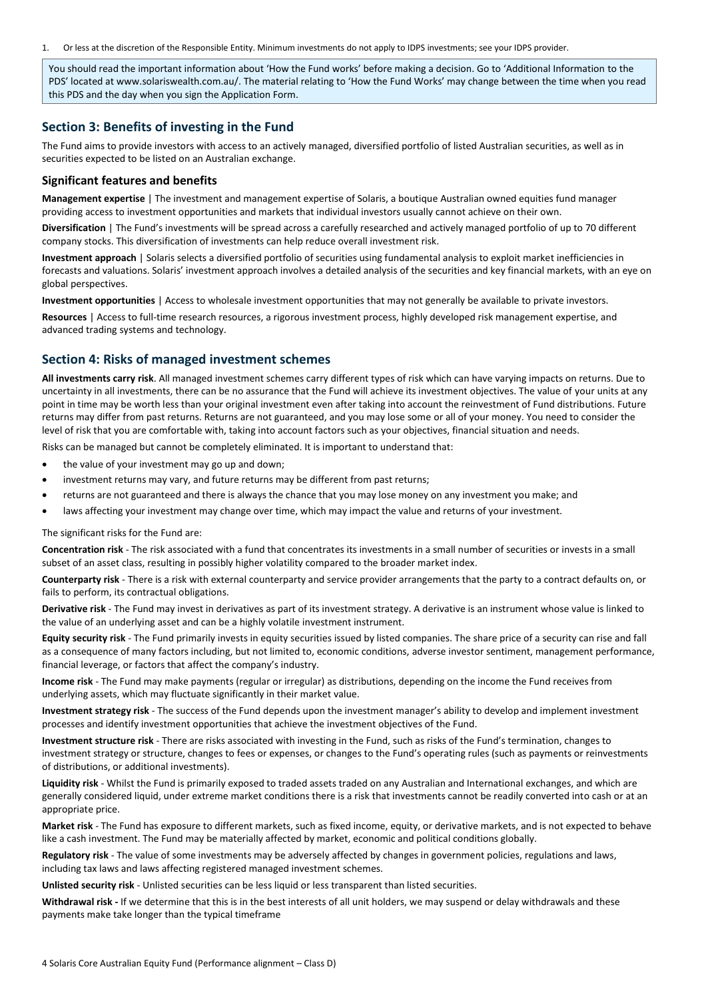1. Or less at the discretion of the Responsible Entity. Minimum investments do not apply to IDPS investments; see your IDPS provider.

You should read the important information about 'How the Fund works' before making a decision. Go to 'Additional Information to the PDS' located at www.solariswealth.com.au/. The material relating to 'How the Fund Works' may change between the time when you read this PDS and the day when you sign the Application Form.

# <span id="page-3-0"></span>**Section 3: Benefits of investing in the Fund**

The Fund aims to provide investors with access to an actively managed, diversified portfolio of listed Australian securities, as well as in securities expected to be listed on an Australian exchange.

#### **Significant features and benefits**

**Management expertise** | The investment and management expertise of Solaris, a boutique Australian owned equities fund manager providing access to investment opportunities and markets that individual investors usually cannot achieve on their own.

**Diversification** | The Fund's investments will be spread across a carefully researched and actively managed portfolio of up to 70 different company stocks. This diversification of investments can help reduce overall investment risk.

**Investment approach** | Solaris selects a diversified portfolio of securities using fundamental analysis to exploit market inefficiencies in forecasts and valuations. Solaris' investment approach involves a detailed analysis of the securities and key financial markets, with an eye on global perspectives.

**Investment opportunities** | Access to wholesale investment opportunities that may not generally be available to private investors.

**Resources** | Access to full-time research resources, a rigorous investment process, highly developed risk management expertise, and advanced trading systems and technology.

# <span id="page-3-1"></span>**Section 4: Risks of managed investment schemes**

**All investments carry risk**. All managed investment schemes carry different types of risk which can have varying impacts on returns. Due to uncertainty in all investments, there can be no assurance that the Fund will achieve its investment objectives. The value of your units at any point in time may be worth less than your original investment even after taking into account the reinvestment of Fund distributions. Future returns may differ from past returns. Returns are not guaranteed, and you may lose some or all of your money. You need to consider the level of risk that you are comfortable with, taking into account factors such as your objectives, financial situation and needs.

Risks can be managed but cannot be completely eliminated. It is important to understand that:

- the value of your investment may go up and down;
- investment returns may vary, and future returns may be different from past returns;
- returns are not guaranteed and there is always the chance that you may lose money on any investment you make; and
- laws affecting your investment may change over time, which may impact the value and returns of your investment.

The significant risks for the Fund are:

**Concentration risk** - The risk associated with a fund that concentrates its investments in a small number of securities or invests in a small subset of an asset class, resulting in possibly higher volatility compared to the broader market index.

**Counterparty risk** - There is a risk with external counterparty and service provider arrangements that the party to a contract defaults on, or fails to perform, its contractual obligations.

**Derivative risk** - The Fund may invest in derivatives as part of its investment strategy. A derivative is an instrument whose value is linked to the value of an underlying asset and can be a highly volatile investment instrument.

**Equity security risk** - The Fund primarily invests in equity securities issued by listed companies. The share price of a security can rise and fall as a consequence of many factors including, but not limited to, economic conditions, adverse investor sentiment, management performance, financial leverage, or factors that affect the company's industry.

**Income risk** - The Fund may make payments (regular or irregular) as distributions, depending on the income the Fund receives from underlying assets, which may fluctuate significantly in their market value.

**Investment strategy risk** - The success of the Fund depends upon the investment manager's ability to develop and implement investment processes and identify investment opportunities that achieve the investment objectives of the Fund.

**Investment structure risk** - There are risks associated with investing in the Fund, such as risks of the Fund's termination, changes to investment strategy or structure, changes to fees or expenses, or changes to the Fund's operating rules (such as payments or reinvestments of distributions, or additional investments).

**Liquidity risk** - Whilst the Fund is primarily exposed to traded assets traded on any Australian and International exchanges, and which are generally considered liquid, under extreme market conditions there is a risk that investments cannot be readily converted into cash or at an appropriate price.

**Market risk** - The Fund has exposure to different markets, such as fixed income, equity, or derivative markets, and is not expected to behave like a cash investment. The Fund may be materially affected by market, economic and political conditions globally.

**Regulatory risk** - The value of some investments may be adversely affected by changes in government policies, regulations and laws, including tax laws and laws affecting registered managed investment schemes.

**Unlisted security risk** - Unlisted securities can be less liquid or less transparent than listed securities.

**Withdrawal risk -** If we determine that this is in the best interests of all unit holders, we may suspend or delay withdrawals and these payments make take longer than the typical timeframe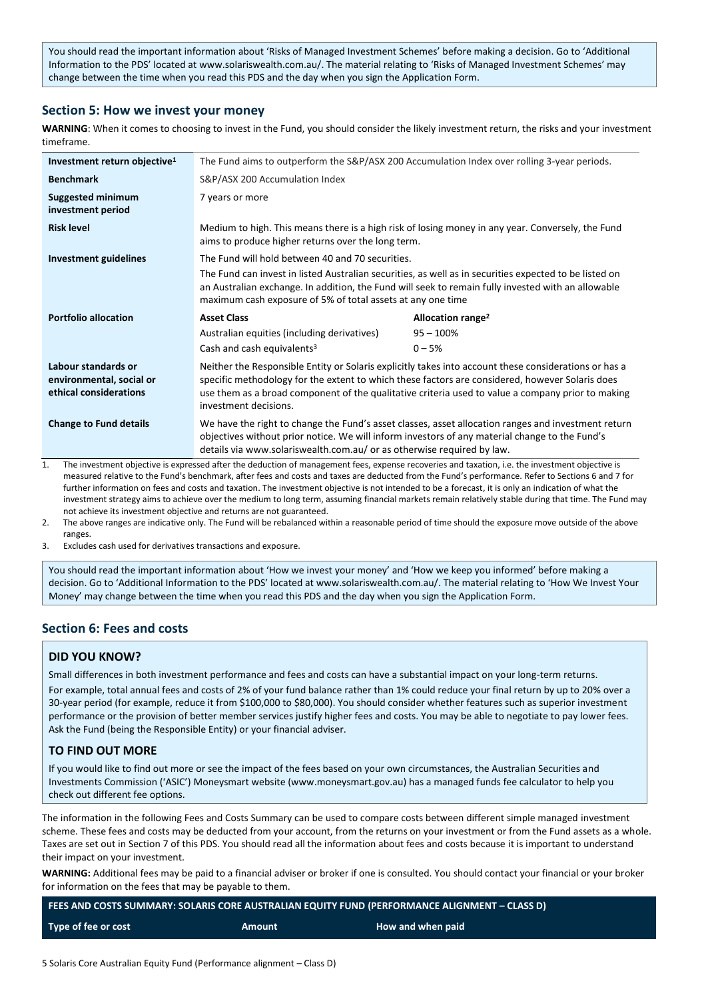You should read the important information about 'Risks of Managed Investment Schemes' before making a decision. Go to 'Additional Information to the PDS' located at www.solariswealth.com.au/. The material relating to 'Risks of Managed Investment Schemes' may change between the time when you read this PDS and the day when you sign the Application Form.

# <span id="page-4-0"></span>**Section 5: How we invest your money**

**WARNING**: When it comes to choosing to invest in the Fund, you should consider the likely investment return, the risks and your investment timeframe.

| Investment return objective <sup>1</sup>                                  | The Fund aims to outperform the S&P/ASX 200 Accumulation Index over rolling 3-year periods.                                                                                                                                                                                                                                            |                               |  |
|---------------------------------------------------------------------------|----------------------------------------------------------------------------------------------------------------------------------------------------------------------------------------------------------------------------------------------------------------------------------------------------------------------------------------|-------------------------------|--|
| <b>Benchmark</b>                                                          | S&P/ASX 200 Accumulation Index                                                                                                                                                                                                                                                                                                         |                               |  |
| <b>Suggested minimum</b><br>investment period                             | 7 years or more                                                                                                                                                                                                                                                                                                                        |                               |  |
| <b>Risk level</b>                                                         | Medium to high. This means there is a high risk of losing money in any year. Conversely, the Fund<br>aims to produce higher returns over the long term.                                                                                                                                                                                |                               |  |
| <b>Investment guidelines</b>                                              | The Fund will hold between 40 and 70 securities.<br>The Fund can invest in listed Australian securities, as well as in securities expected to be listed on<br>an Australian exchange. In addition, the Fund will seek to remain fully invested with an allowable<br>maximum cash exposure of 5% of total assets at any one time        |                               |  |
|                                                                           |                                                                                                                                                                                                                                                                                                                                        |                               |  |
| <b>Portfolio allocation</b>                                               | <b>Asset Class</b>                                                                                                                                                                                                                                                                                                                     | Allocation range <sup>2</sup> |  |
|                                                                           | Australian equities (including derivatives)                                                                                                                                                                                                                                                                                            | $95 - 100%$                   |  |
|                                                                           | Cash and cash equivalents <sup>3</sup>                                                                                                                                                                                                                                                                                                 | $0 - 5%$                      |  |
| Labour standards or<br>environmental, social or<br>ethical considerations | Neither the Responsible Entity or Solaris explicitly takes into account these considerations or has a<br>specific methodology for the extent to which these factors are considered, however Solaris does<br>use them as a broad component of the qualitative criteria used to value a company prior to making<br>investment decisions. |                               |  |
| <b>Change to Fund details</b>                                             | We have the right to change the Fund's asset classes, asset allocation ranges and investment return<br>objectives without prior notice. We will inform investors of any material change to the Fund's<br>details via www.solariswealth.com.au/ or as otherwise required by law.                                                        |                               |  |

1. The investment objective is expressed after the deduction of management fees, expense recoveries and taxation, i.e. the investment objective is measured relative to the Fund's benchmark, after fees and costs and taxes are deducted from the Fund's performance. Refer to Sections 6 and 7 for further information on fees and costs and taxation. The investment objective is not intended to be a forecast, it is only an indication of what the investment strategy aims to achieve over the medium to long term, assuming financial markets remain relatively stable during that time. The Fund may not achieve its investment objective and returns are not guaranteed.

2. The above ranges are indicative only. The Fund will be rebalanced within a reasonable period of time should the exposure move outside of the above ranges.

3. Excludes cash used for derivatives transactions and exposure.

You should read the important information about 'How we invest your money' and 'How we keep you informed' before making a decision. Go to 'Additional Information to the PDS' located at www.solariswealth.com.au/. The material relating to 'How We Invest Your Money' may change between the time when you read this PDS and the day when you sign the Application Form.

# <span id="page-4-1"></span>**Section 6: Fees and costs**

# **DID YOU KNOW?**

Small differences in both investment performance and fees and costs can have a substantial impact on your long-term returns. For example, total annual fees and costs of 2% of your fund balance rather than 1% could reduce your final return by up to 20% over a 30-year period (for example, reduce it from \$100,000 to \$80,000). You should consider whether features such as superior investment performance or the provision of better member services justify higher fees and costs. You may be able to negotiate to pay lower fees. Ask the Fund (being the Responsible Entity) or your financial adviser.

# **TO FIND OUT MORE**

If you would like to find out more or see the impact of the fees based on your own circumstances, the Australian Securities and Investments Commission ('ASIC') Moneysmart website (www.moneysmart.gov.au) has a managed funds fee calculator to help you check out different fee options.

The information in the following Fees and Costs Summary can be used to compare costs between different simple managed investment scheme. These fees and costs may be deducted from your account, from the returns on your investment or from the Fund assets as a whole. Taxes are set out in Section 7 of this PDS. You should read all the information about fees and costs because it is important to understand their impact on your investment.

**WARNING:** Additional fees may be paid to a financial adviser or broker if one is consulted. You should contact your financial or your broker for information on the fees that may be payable to them.

| FEES AND COSTS SUMMARY: SOLARIS CORE AUSTRALIAN EQUITY FUND (PERFORMANCE ALIGNMENT – CLASS D) |        |                   |  |
|-----------------------------------------------------------------------------------------------|--------|-------------------|--|
| Type of fee or cost                                                                           | Amount | How and when paid |  |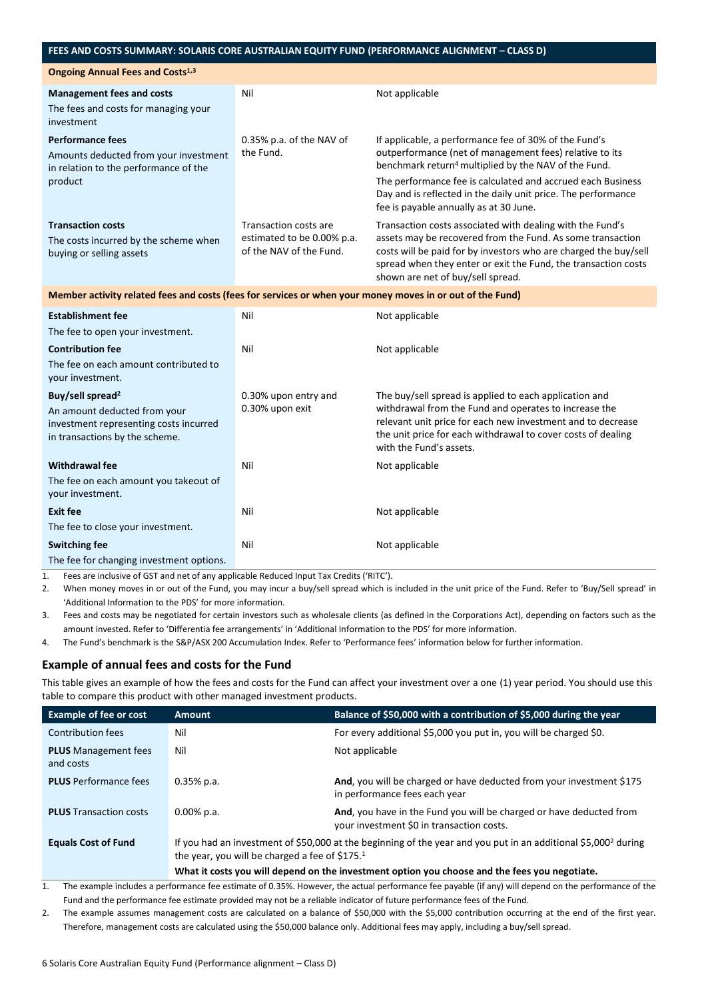## **FEES AND COSTS SUMMARY: SOLARIS CORE AUSTRALIAN EQUITY FUND (PERFORMANCE ALIGNMENT – CLASS D)**

| <b>Ongoing Annual Fees and Costs<sup>1,3</sup></b>                                                                                       |                                                                                       |                                                                                                                                                                                                                                                                                                                                                                |  |
|------------------------------------------------------------------------------------------------------------------------------------------|---------------------------------------------------------------------------------------|----------------------------------------------------------------------------------------------------------------------------------------------------------------------------------------------------------------------------------------------------------------------------------------------------------------------------------------------------------------|--|
| <b>Management fees and costs</b><br>The fees and costs for managing your<br>investment                                                   | Nil                                                                                   | Not applicable                                                                                                                                                                                                                                                                                                                                                 |  |
| <b>Performance fees</b><br>Amounts deducted from your investment<br>in relation to the performance of the<br>product                     | 0.35% p.a. of the NAV of<br>the Fund.                                                 | If applicable, a performance fee of 30% of the Fund's<br>outperformance (net of management fees) relative to its<br>benchmark return <sup>4</sup> multiplied by the NAV of the Fund.<br>The performance fee is calculated and accrued each Business<br>Day and is reflected in the daily unit price. The performance<br>fee is payable annually as at 30 June. |  |
| <b>Transaction costs</b><br>The costs incurred by the scheme when<br>buying or selling assets                                            | <b>Transaction costs are</b><br>estimated to be 0.00% p.a.<br>of the NAV of the Fund. | Transaction costs associated with dealing with the Fund's<br>assets may be recovered from the Fund. As some transaction<br>costs will be paid for by investors who are charged the buy/sell<br>spread when they enter or exit the Fund, the transaction costs<br>shown are net of buy/sell spread.                                                             |  |
| Member activity related fees and costs (fees for services or when your money moves in or out of the Fund)                                |                                                                                       |                                                                                                                                                                                                                                                                                                                                                                |  |
| <b>Establishment fee</b><br>The fee to open your investment.                                                                             | Nil                                                                                   | Not applicable                                                                                                                                                                                                                                                                                                                                                 |  |
| <b>Contribution fee</b><br>The fee on each amount contributed to<br>your investment.                                                     | Nil                                                                                   | Not applicable                                                                                                                                                                                                                                                                                                                                                 |  |
| Buy/sell spread <sup>2</sup><br>An amount deducted from your<br>investment representing costs incurred<br>in transactions by the scheme. | 0.30% upon entry and<br>0.30% upon exit                                               | The buy/sell spread is applied to each application and<br>withdrawal from the Fund and operates to increase the<br>relevant unit price for each new investment and to decrease<br>the unit price for each withdrawal to cover costs of dealing<br>with the Fund's assets.                                                                                      |  |
| <b>Withdrawal fee</b><br>The fee on each amount you takeout of<br>your investment.                                                       | Nil                                                                                   | Not applicable                                                                                                                                                                                                                                                                                                                                                 |  |
| <b>Exit fee</b><br>The fee to close your investment.                                                                                     | Nil                                                                                   | Not applicable                                                                                                                                                                                                                                                                                                                                                 |  |
| <b>Switching fee</b><br>The fee for changing investment options.                                                                         | Nil                                                                                   | Not applicable                                                                                                                                                                                                                                                                                                                                                 |  |

1. Fees are inclusive of GST and net of any applicable Reduced Input Tax Credits ('RITC').

2. When money moves in or out of the Fund, you may incur a buy/sell spread which is included in the unit price of the Fund. Refer to 'Buy/Sell spread' in 'Additional Information to the PDS' for more information.

3. Fees and costs may be negotiated for certain investors such as wholesale clients (as defined in the Corporations Act), depending on factors such as the amount invested. Refer to 'Differentia fee arrangements' in 'Additional Information to the PDS' for more information.

4. The Fund's benchmark is the S&P/ASX 200 Accumulation Index. Refer to 'Performance fees' information below for further information.

# **Example of annual fees and costs for the Fund**

This table gives an example of how the fees and costs for the Fund can affect your investment over a one (1) year period. You should use this table to compare this product with other managed investment products.

| <b>Example of fee or cost</b>            | <b>Amount</b>                                                                                                                                                                | Balance of \$50,000 with a contribution of \$5,000 during the year                                               |
|------------------------------------------|------------------------------------------------------------------------------------------------------------------------------------------------------------------------------|------------------------------------------------------------------------------------------------------------------|
| Contribution fees                        | Nil                                                                                                                                                                          | For every additional \$5,000 you put in, you will be charged \$0.                                                |
| <b>PLUS</b> Management fees<br>and costs | Nil                                                                                                                                                                          | Not applicable                                                                                                   |
| <b>PLUS</b> Performance fees             | $0.35%$ p.a.                                                                                                                                                                 | And, you will be charged or have deducted from your investment \$175<br>in performance fees each year            |
| <b>PLUS</b> Transaction costs            | $0.00\%$ p.a.                                                                                                                                                                | And, you have in the Fund you will be charged or have deducted from<br>your investment \$0 in transaction costs. |
| <b>Equals Cost of Fund</b>               | If you had an investment of \$50,000 at the beginning of the year and you put in an additional \$5,000 <sup>2</sup> during<br>the year, you will be charged a fee of \$175.1 |                                                                                                                  |
|                                          | What it costs you will depend on the investment option you choose and the fees you negotiate.                                                                                |                                                                                                                  |

1. The example includes a performance fee estimate of 0.35%. However, the actual performance fee payable (if any) will depend on the performance of the Fund and the performance fee estimate provided may not be a reliable indicator of future performance fees of the Fund.

2. The example assumes management costs are calculated on a balance of \$50,000 with the \$5,000 contribution occurring at the end of the first year. Therefore, management costs are calculated using the \$50,000 balance only. Additional fees may apply, including a buy/sell spread.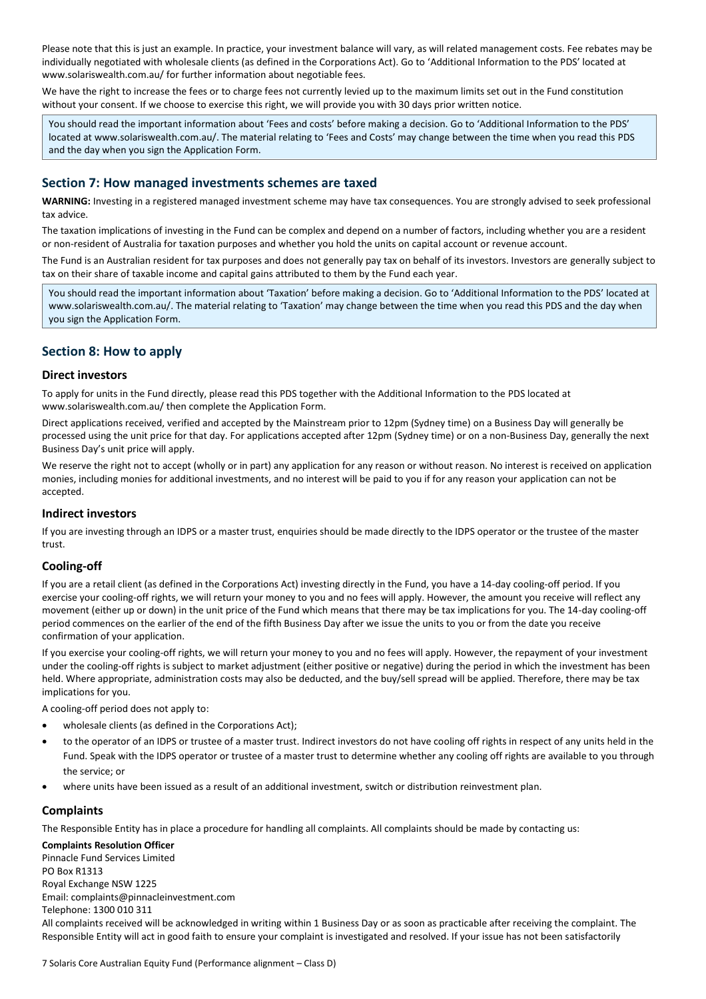Please note that this is just an example. In practice, your investment balance will vary, as will related management costs. Fee rebates may be individually negotiated with wholesale clients (as defined in the Corporations Act). Go to 'Additional Information to the PDS' located at www.solariswealth.com.au/ for further information about negotiable fees.

We have the right to increase the fees or to charge fees not currently levied up to the maximum limits set out in the Fund constitution without your consent. If we choose to exercise this right, we will provide you with 30 days prior written notice.

You should read the important information about 'Fees and costs' before making a decision. Go to 'Additional Information to the PDS' located at www.solariswealth.com.au/. The material relating to 'Fees and Costs' may change between the time when you read this PDS and the day when you sign the Application Form.

# <span id="page-6-0"></span>**Section 7: How managed investments schemes are taxed**

**WARNING:** Investing in a registered managed investment scheme may have tax consequences. You are strongly advised to seek professional tax advice.

The taxation implications of investing in the Fund can be complex and depend on a number of factors, including whether you are a resident or non-resident of Australia for taxation purposes and whether you hold the units on capital account or revenue account.

The Fund is an Australian resident for tax purposes and does not generally pay tax on behalf of its investors. Investors are generally subject to tax on their share of taxable income and capital gains attributed to them by the Fund each year.

You should read the important information about 'Taxation' before making a decision. Go to 'Additional Information to the PDS' located at www.solariswealth.com.au/. The material relating to 'Taxation' may change between the time when you read this PDS and the day when you sign the Application Form.

# <span id="page-6-1"></span>**Section 8: How to apply**

## **Direct investors**

To apply for units in the Fund directly, please read this PDS together with the Additional Information to the PDS located at www.solariswealth.com.au/ then complete the Application Form.

Direct applications received, verified and accepted by the Mainstream prior to 12pm (Sydney time) on a Business Day will generally be processed using the unit price for that day. For applications accepted after 12pm (Sydney time) or on a non-Business Day, generally the next Business Day's unit price will apply.

We reserve the right not to accept (wholly or in part) any application for any reason or without reason. No interest is received on application monies, including monies for additional investments, and no interest will be paid to you if for any reason your application can not be accepted.

# **Indirect investors**

If you are investing through an IDPS or a master trust, enquiries should be made directly to the IDPS operator or the trustee of the master trust.

# **Cooling-off**

If you are a retail client (as defined in the Corporations Act) investing directly in the Fund, you have a 14-day cooling-off period. If you exercise your cooling-off rights, we will return your money to you and no fees will apply. However, the amount you receive will reflect any movement (either up or down) in the unit price of the Fund which means that there may be tax implications for you. The 14-day cooling-off period commences on the earlier of the end of the fifth Business Day after we issue the units to you or from the date you receive confirmation of your application.

If you exercise your cooling-off rights, we will return your money to you and no fees will apply. However, the repayment of your investment under the cooling-off rights is subject to market adjustment (either positive or negative) during the period in which the investment has been held. Where appropriate, administration costs may also be deducted, and the buy/sell spread will be applied. Therefore, there may be tax implications for you.

A cooling-off period does not apply to:

- wholesale clients (as defined in the Corporations Act);
- to the operator of an IDPS or trustee of a master trust. Indirect investors do not have cooling off rights in respect of any units held in the Fund. Speak with the IDPS operator or trustee of a master trust to determine whether any cooling off rights are available to you through the service; or
- where units have been issued as a result of an additional investment, switch or distribution reinvestment plan.

#### **Complaints**

The Responsible Entity has in place a procedure for handling all complaints. All complaints should be made by contacting us:

**Complaints Resolution Officer** Pinnacle Fund Services Limited

PO Box R1313 Royal Exchange NSW 1225 Email: complaints@pinnacleinvestment.com Telephone: 1300 010 311 All complaints received will be acknowledged in writing within 1 Business Day or as soon as practicable after receiving the complaint. The Responsible Entity will act in good faith to ensure your complaint is investigated and resolved. If your issue has not been satisfactorily